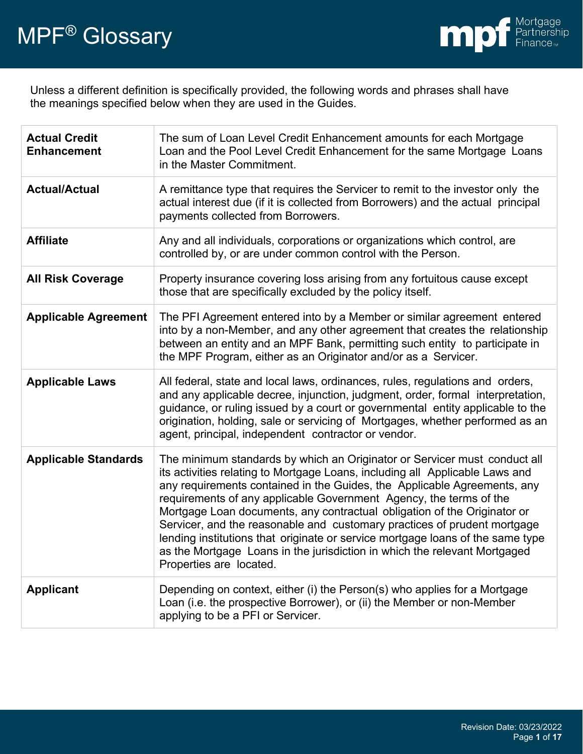

Unless a different definition is specifically provided, the following words and phrases shall have the meanings specified below when they are used in the Guides.

| <b>Actual Credit</b><br><b>Enhancement</b> | The sum of Loan Level Credit Enhancement amounts for each Mortgage<br>Loan and the Pool Level Credit Enhancement for the same Mortgage Loans<br>in the Master Commitment.                                                                                                                                                                                                                                                                                                                                                                                                                                                                                     |
|--------------------------------------------|---------------------------------------------------------------------------------------------------------------------------------------------------------------------------------------------------------------------------------------------------------------------------------------------------------------------------------------------------------------------------------------------------------------------------------------------------------------------------------------------------------------------------------------------------------------------------------------------------------------------------------------------------------------|
| <b>Actual/Actual</b>                       | A remittance type that requires the Servicer to remit to the investor only the<br>actual interest due (if it is collected from Borrowers) and the actual principal<br>payments collected from Borrowers.                                                                                                                                                                                                                                                                                                                                                                                                                                                      |
| <b>Affiliate</b>                           | Any and all individuals, corporations or organizations which control, are<br>controlled by, or are under common control with the Person.                                                                                                                                                                                                                                                                                                                                                                                                                                                                                                                      |
| <b>All Risk Coverage</b>                   | Property insurance covering loss arising from any fortuitous cause except<br>those that are specifically excluded by the policy itself.                                                                                                                                                                                                                                                                                                                                                                                                                                                                                                                       |
| <b>Applicable Agreement</b>                | The PFI Agreement entered into by a Member or similar agreement entered<br>into by a non-Member, and any other agreement that creates the relationship<br>between an entity and an MPF Bank, permitting such entity to participate in<br>the MPF Program, either as an Originator and/or as a Servicer.                                                                                                                                                                                                                                                                                                                                                       |
| <b>Applicable Laws</b>                     | All federal, state and local laws, ordinances, rules, regulations and orders,<br>and any applicable decree, injunction, judgment, order, formal interpretation,<br>guidance, or ruling issued by a court or governmental entity applicable to the<br>origination, holding, sale or servicing of Mortgages, whether performed as an<br>agent, principal, independent contractor or vendor.                                                                                                                                                                                                                                                                     |
| <b>Applicable Standards</b>                | The minimum standards by which an Originator or Servicer must conduct all<br>its activities relating to Mortgage Loans, including all Applicable Laws and<br>any requirements contained in the Guides, the Applicable Agreements, any<br>requirements of any applicable Government Agency, the terms of the<br>Mortgage Loan documents, any contractual obligation of the Originator or<br>Servicer, and the reasonable and customary practices of prudent mortgage<br>lending institutions that originate or service mortgage loans of the same type<br>as the Mortgage Loans in the jurisdiction in which the relevant Mortgaged<br>Properties are located. |
| <b>Applicant</b>                           | Depending on context, either (i) the Person(s) who applies for a Mortgage<br>Loan (i.e. the prospective Borrower), or (ii) the Member or non-Member<br>applying to be a PFI or Servicer.                                                                                                                                                                                                                                                                                                                                                                                                                                                                      |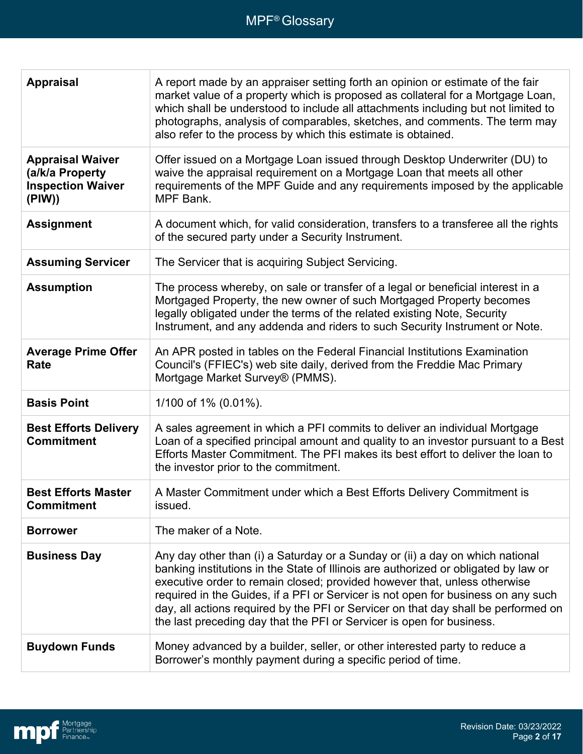| <b>Appraisal</b>                                                                 | A report made by an appraiser setting forth an opinion or estimate of the fair<br>market value of a property which is proposed as collateral for a Mortgage Loan,<br>which shall be understood to include all attachments including but not limited to<br>photographs, analysis of comparables, sketches, and comments. The term may<br>also refer to the process by which this estimate is obtained.                                                                                                 |
|----------------------------------------------------------------------------------|-------------------------------------------------------------------------------------------------------------------------------------------------------------------------------------------------------------------------------------------------------------------------------------------------------------------------------------------------------------------------------------------------------------------------------------------------------------------------------------------------------|
| <b>Appraisal Waiver</b><br>(a/k/a Property<br><b>Inspection Waiver</b><br>(PIW)) | Offer issued on a Mortgage Loan issued through Desktop Underwriter (DU) to<br>waive the appraisal requirement on a Mortgage Loan that meets all other<br>requirements of the MPF Guide and any requirements imposed by the applicable<br><b>MPF Bank.</b>                                                                                                                                                                                                                                             |
| <b>Assignment</b>                                                                | A document which, for valid consideration, transfers to a transferee all the rights<br>of the secured party under a Security Instrument.                                                                                                                                                                                                                                                                                                                                                              |
| <b>Assuming Servicer</b>                                                         | The Servicer that is acquiring Subject Servicing.                                                                                                                                                                                                                                                                                                                                                                                                                                                     |
| <b>Assumption</b>                                                                | The process whereby, on sale or transfer of a legal or beneficial interest in a<br>Mortgaged Property, the new owner of such Mortgaged Property becomes<br>legally obligated under the terms of the related existing Note, Security<br>Instrument, and any addenda and riders to such Security Instrument or Note.                                                                                                                                                                                    |
| <b>Average Prime Offer</b><br>Rate                                               | An APR posted in tables on the Federal Financial Institutions Examination<br>Council's (FFIEC's) web site daily, derived from the Freddie Mac Primary<br>Mortgage Market Survey® (PMMS).                                                                                                                                                                                                                                                                                                              |
| <b>Basis Point</b>                                                               | 1/100 of 1% (0.01%).                                                                                                                                                                                                                                                                                                                                                                                                                                                                                  |
| <b>Best Efforts Delivery</b><br><b>Commitment</b>                                | A sales agreement in which a PFI commits to deliver an individual Mortgage<br>Loan of a specified principal amount and quality to an investor pursuant to a Best<br>Efforts Master Commitment. The PFI makes its best effort to deliver the loan to<br>the investor prior to the commitment.                                                                                                                                                                                                          |
| <b>Best Efforts Master</b><br><b>Commitment</b>                                  | A Master Commitment under which a Best Efforts Delivery Commitment is<br>issued.                                                                                                                                                                                                                                                                                                                                                                                                                      |
| <b>Borrower</b>                                                                  | The maker of a Note.                                                                                                                                                                                                                                                                                                                                                                                                                                                                                  |
| <b>Business Day</b>                                                              | Any day other than (i) a Saturday or a Sunday or (ii) a day on which national<br>banking institutions in the State of Illinois are authorized or obligated by law or<br>executive order to remain closed; provided however that, unless otherwise<br>required in the Guides, if a PFI or Servicer is not open for business on any such<br>day, all actions required by the PFI or Servicer on that day shall be performed on<br>the last preceding day that the PFI or Servicer is open for business. |
| <b>Buydown Funds</b>                                                             | Money advanced by a builder, seller, or other interested party to reduce a<br>Borrower's monthly payment during a specific period of time.                                                                                                                                                                                                                                                                                                                                                            |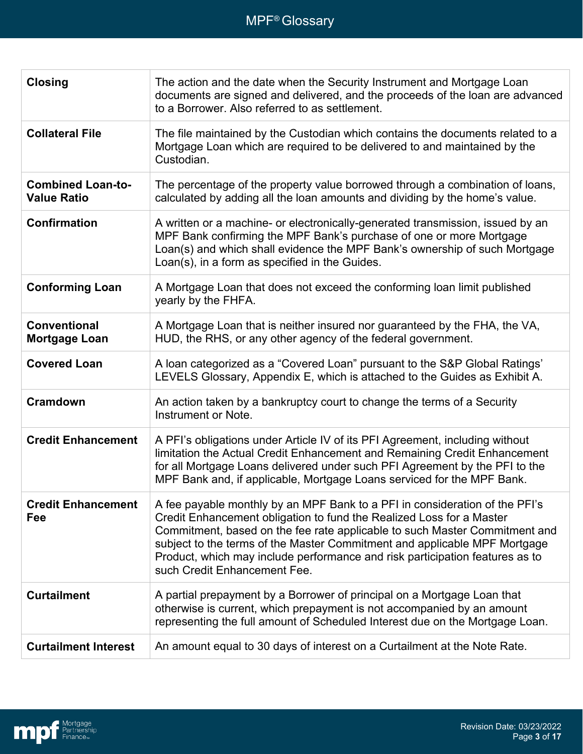| <b>Closing</b>                                 | The action and the date when the Security Instrument and Mortgage Loan<br>documents are signed and delivered, and the proceeds of the loan are advanced<br>to a Borrower. Also referred to as settlement.                                                                                                                                                                                                                      |
|------------------------------------------------|--------------------------------------------------------------------------------------------------------------------------------------------------------------------------------------------------------------------------------------------------------------------------------------------------------------------------------------------------------------------------------------------------------------------------------|
| <b>Collateral File</b>                         | The file maintained by the Custodian which contains the documents related to a<br>Mortgage Loan which are required to be delivered to and maintained by the<br>Custodian.                                                                                                                                                                                                                                                      |
| <b>Combined Loan-to-</b><br><b>Value Ratio</b> | The percentage of the property value borrowed through a combination of loans,<br>calculated by adding all the loan amounts and dividing by the home's value.                                                                                                                                                                                                                                                                   |
| <b>Confirmation</b>                            | A written or a machine- or electronically-generated transmission, issued by an<br>MPF Bank confirming the MPF Bank's purchase of one or more Mortgage<br>Loan(s) and which shall evidence the MPF Bank's ownership of such Mortgage<br>Loan(s), in a form as specified in the Guides.                                                                                                                                          |
| <b>Conforming Loan</b>                         | A Mortgage Loan that does not exceed the conforming loan limit published<br>yearly by the FHFA.                                                                                                                                                                                                                                                                                                                                |
| <b>Conventional</b><br><b>Mortgage Loan</b>    | A Mortgage Loan that is neither insured nor guaranteed by the FHA, the VA,<br>HUD, the RHS, or any other agency of the federal government.                                                                                                                                                                                                                                                                                     |
| <b>Covered Loan</b>                            | A loan categorized as a "Covered Loan" pursuant to the S&P Global Ratings'<br>LEVELS Glossary, Appendix E, which is attached to the Guides as Exhibit A.                                                                                                                                                                                                                                                                       |
| <b>Cramdown</b>                                | An action taken by a bankruptcy court to change the terms of a Security<br>Instrument or Note.                                                                                                                                                                                                                                                                                                                                 |
| <b>Credit Enhancement</b>                      | A PFI's obligations under Article IV of its PFI Agreement, including without<br>limitation the Actual Credit Enhancement and Remaining Credit Enhancement<br>for all Mortgage Loans delivered under such PFI Agreement by the PFI to the<br>MPF Bank and, if applicable, Mortgage Loans serviced for the MPF Bank.                                                                                                             |
| <b>Credit Enhancement</b><br>Fee               | A fee payable monthly by an MPF Bank to a PFI in consideration of the PFI's<br>Credit Enhancement obligation to fund the Realized Loss for a Master<br>Commitment, based on the fee rate applicable to such Master Commitment and<br>subject to the terms of the Master Commitment and applicable MPF Mortgage<br>Product, which may include performance and risk participation features as to<br>such Credit Enhancement Fee. |
| <b>Curtailment</b>                             | A partial prepayment by a Borrower of principal on a Mortgage Loan that<br>otherwise is current, which prepayment is not accompanied by an amount<br>representing the full amount of Scheduled Interest due on the Mortgage Loan.                                                                                                                                                                                              |
| <b>Curtailment Interest</b>                    | An amount equal to 30 days of interest on a Curtailment at the Note Rate.                                                                                                                                                                                                                                                                                                                                                      |

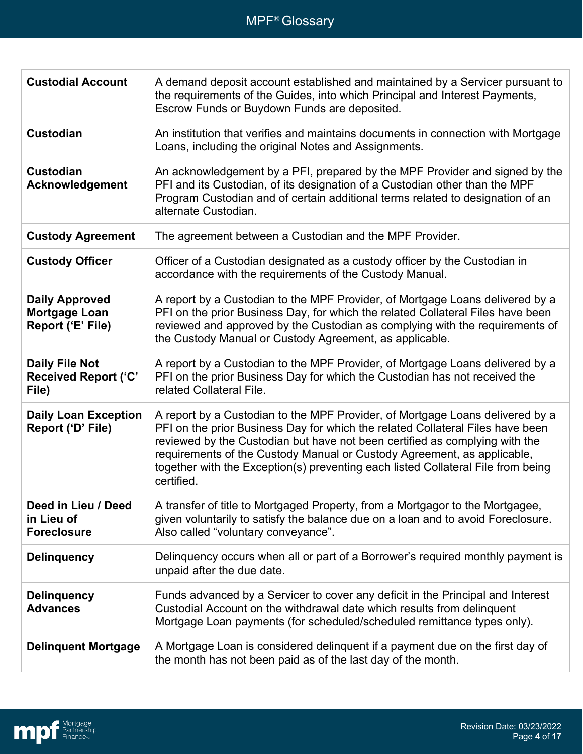| <b>Custodial Account</b>                                      | A demand deposit account established and maintained by a Servicer pursuant to<br>the requirements of the Guides, into which Principal and Interest Payments,<br>Escrow Funds or Buydown Funds are deposited.                                                                                                                                                                                                                |
|---------------------------------------------------------------|-----------------------------------------------------------------------------------------------------------------------------------------------------------------------------------------------------------------------------------------------------------------------------------------------------------------------------------------------------------------------------------------------------------------------------|
| <b>Custodian</b>                                              | An institution that verifies and maintains documents in connection with Mortgage<br>Loans, including the original Notes and Assignments.                                                                                                                                                                                                                                                                                    |
| <b>Custodian</b><br>Acknowledgement                           | An acknowledgement by a PFI, prepared by the MPF Provider and signed by the<br>PFI and its Custodian, of its designation of a Custodian other than the MPF<br>Program Custodian and of certain additional terms related to designation of an<br>alternate Custodian.                                                                                                                                                        |
| <b>Custody Agreement</b>                                      | The agreement between a Custodian and the MPF Provider.                                                                                                                                                                                                                                                                                                                                                                     |
| <b>Custody Officer</b>                                        | Officer of a Custodian designated as a custody officer by the Custodian in<br>accordance with the requirements of the Custody Manual.                                                                                                                                                                                                                                                                                       |
| <b>Daily Approved</b><br>Mortgage Loan<br>Report ('E' File)   | A report by a Custodian to the MPF Provider, of Mortgage Loans delivered by a<br>PFI on the prior Business Day, for which the related Collateral Files have been<br>reviewed and approved by the Custodian as complying with the requirements of<br>the Custody Manual or Custody Agreement, as applicable.                                                                                                                 |
| <b>Daily File Not</b><br><b>Received Report ('C'</b><br>File) | A report by a Custodian to the MPF Provider, of Mortgage Loans delivered by a<br>PFI on the prior Business Day for which the Custodian has not received the<br>related Collateral File.                                                                                                                                                                                                                                     |
| <b>Daily Loan Exception</b><br>Report ('D' File)              | A report by a Custodian to the MPF Provider, of Mortgage Loans delivered by a<br>PFI on the prior Business Day for which the related Collateral Files have been<br>reviewed by the Custodian but have not been certified as complying with the<br>requirements of the Custody Manual or Custody Agreement, as applicable,<br>together with the Exception(s) preventing each listed Collateral File from being<br>certified. |
| Deed in Lieu / Deed<br>in Lieu of<br><b>Foreclosure</b>       | A transfer of title to Mortgaged Property, from a Mortgagor to the Mortgagee,<br>given voluntarily to satisfy the balance due on a loan and to avoid Foreclosure.<br>Also called "voluntary conveyance".                                                                                                                                                                                                                    |
| <b>Delinquency</b>                                            | Delinguency occurs when all or part of a Borrower's required monthly payment is<br>unpaid after the due date.                                                                                                                                                                                                                                                                                                               |
| <b>Delinquency</b><br><b>Advances</b>                         | Funds advanced by a Servicer to cover any deficit in the Principal and Interest<br>Custodial Account on the withdrawal date which results from delinquent<br>Mortgage Loan payments (for scheduled/scheduled remittance types only).                                                                                                                                                                                        |
| <b>Delinquent Mortgage</b>                                    | A Mortgage Loan is considered delinquent if a payment due on the first day of<br>the month has not been paid as of the last day of the month.                                                                                                                                                                                                                                                                               |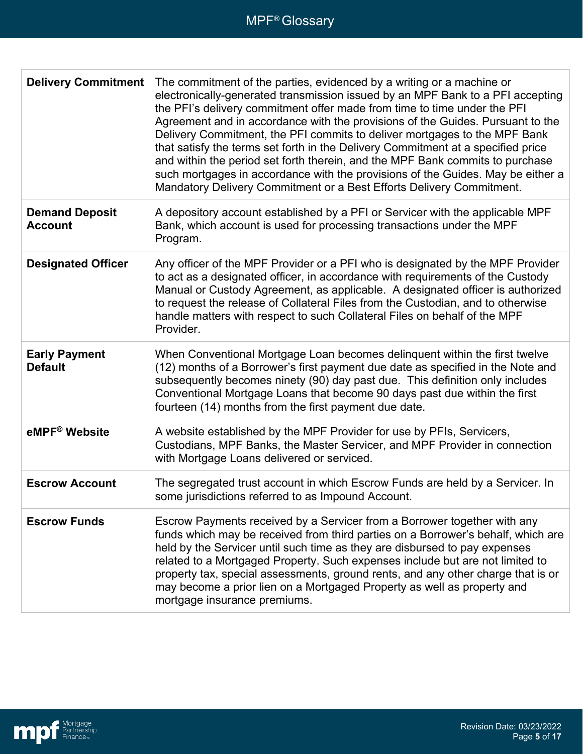| <b>Delivery Commitment</b>              | The commitment of the parties, evidenced by a writing or a machine or<br>electronically-generated transmission issued by an MPF Bank to a PFI accepting<br>the PFI's delivery commitment offer made from time to time under the PFI<br>Agreement and in accordance with the provisions of the Guides. Pursuant to the<br>Delivery Commitment, the PFI commits to deliver mortgages to the MPF Bank<br>that satisfy the terms set forth in the Delivery Commitment at a specified price<br>and within the period set forth therein, and the MPF Bank commits to purchase<br>such mortgages in accordance with the provisions of the Guides. May be either a<br>Mandatory Delivery Commitment or a Best Efforts Delivery Commitment. |
|-----------------------------------------|------------------------------------------------------------------------------------------------------------------------------------------------------------------------------------------------------------------------------------------------------------------------------------------------------------------------------------------------------------------------------------------------------------------------------------------------------------------------------------------------------------------------------------------------------------------------------------------------------------------------------------------------------------------------------------------------------------------------------------|
| <b>Demand Deposit</b><br><b>Account</b> | A depository account established by a PFI or Servicer with the applicable MPF<br>Bank, which account is used for processing transactions under the MPF<br>Program.                                                                                                                                                                                                                                                                                                                                                                                                                                                                                                                                                                 |
| <b>Designated Officer</b>               | Any officer of the MPF Provider or a PFI who is designated by the MPF Provider<br>to act as a designated officer, in accordance with requirements of the Custody<br>Manual or Custody Agreement, as applicable. A designated officer is authorized<br>to request the release of Collateral Files from the Custodian, and to otherwise<br>handle matters with respect to such Collateral Files on behalf of the MPF<br>Provider.                                                                                                                                                                                                                                                                                                    |
| <b>Early Payment</b><br><b>Default</b>  | When Conventional Mortgage Loan becomes delinquent within the first twelve<br>(12) months of a Borrower's first payment due date as specified in the Note and<br>subsequently becomes ninety (90) day past due. This definition only includes<br>Conventional Mortgage Loans that become 90 days past due within the first<br>fourteen (14) months from the first payment due date.                                                                                                                                                                                                                                                                                                                                                |
| eMPF <sup>®</sup> Website               | A website established by the MPF Provider for use by PFIs, Servicers,<br>Custodians, MPF Banks, the Master Servicer, and MPF Provider in connection<br>with Mortgage Loans delivered or serviced.                                                                                                                                                                                                                                                                                                                                                                                                                                                                                                                                  |
| <b>Escrow Account</b>                   | The segregated trust account in which Escrow Funds are held by a Servicer. In<br>some jurisdictions referred to as Impound Account.                                                                                                                                                                                                                                                                                                                                                                                                                                                                                                                                                                                                |
| <b>Escrow Funds</b>                     | Escrow Payments received by a Servicer from a Borrower together with any<br>funds which may be received from third parties on a Borrower's behalf, which are<br>held by the Servicer until such time as they are disbursed to pay expenses<br>related to a Mortgaged Property. Such expenses include but are not limited to<br>property tax, special assessments, ground rents, and any other charge that is or<br>may become a prior lien on a Mortgaged Property as well as property and<br>mortgage insurance premiums.                                                                                                                                                                                                         |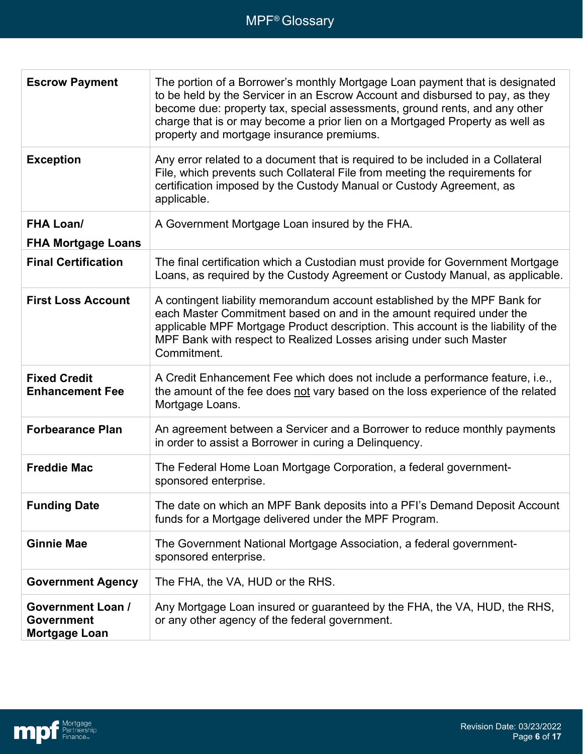| <b>Escrow Payment</b>                                          | The portion of a Borrower's monthly Mortgage Loan payment that is designated<br>to be held by the Servicer in an Escrow Account and disbursed to pay, as they<br>become due: property tax, special assessments, ground rents, and any other<br>charge that is or may become a prior lien on a Mortgaged Property as well as<br>property and mortgage insurance premiums. |
|----------------------------------------------------------------|--------------------------------------------------------------------------------------------------------------------------------------------------------------------------------------------------------------------------------------------------------------------------------------------------------------------------------------------------------------------------|
| <b>Exception</b>                                               | Any error related to a document that is required to be included in a Collateral<br>File, which prevents such Collateral File from meeting the requirements for<br>certification imposed by the Custody Manual or Custody Agreement, as<br>applicable.                                                                                                                    |
| <b>FHA Loan/</b><br><b>FHA Mortgage Loans</b>                  | A Government Mortgage Loan insured by the FHA.                                                                                                                                                                                                                                                                                                                           |
| <b>Final Certification</b>                                     | The final certification which a Custodian must provide for Government Mortgage<br>Loans, as required by the Custody Agreement or Custody Manual, as applicable.                                                                                                                                                                                                          |
| <b>First Loss Account</b>                                      | A contingent liability memorandum account established by the MPF Bank for<br>each Master Commitment based on and in the amount required under the<br>applicable MPF Mortgage Product description. This account is the liability of the<br>MPF Bank with respect to Realized Losses arising under such Master<br>Commitment.                                              |
| <b>Fixed Credit</b><br><b>Enhancement Fee</b>                  | A Credit Enhancement Fee which does not include a performance feature, i.e.,<br>the amount of the fee does not vary based on the loss experience of the related<br>Mortgage Loans.                                                                                                                                                                                       |
| <b>Forbearance Plan</b>                                        | An agreement between a Servicer and a Borrower to reduce monthly payments<br>in order to assist a Borrower in curing a Delinquency.                                                                                                                                                                                                                                      |
| <b>Freddie Mac</b>                                             | The Federal Home Loan Mortgage Corporation, a federal government-<br>sponsored enterprise.                                                                                                                                                                                                                                                                               |
| <b>Funding Date</b>                                            | The date on which an MPF Bank deposits into a PFI's Demand Deposit Account<br>funds for a Mortgage delivered under the MPF Program.                                                                                                                                                                                                                                      |
| <b>Ginnie Mae</b>                                              | The Government National Mortgage Association, a federal government-<br>sponsored enterprise.                                                                                                                                                                                                                                                                             |
| <b>Government Agency</b>                                       | The FHA, the VA, HUD or the RHS.                                                                                                                                                                                                                                                                                                                                         |
| <b>Government Loan /</b><br>Government<br><b>Mortgage Loan</b> | Any Mortgage Loan insured or guaranteed by the FHA, the VA, HUD, the RHS,<br>or any other agency of the federal government.                                                                                                                                                                                                                                              |

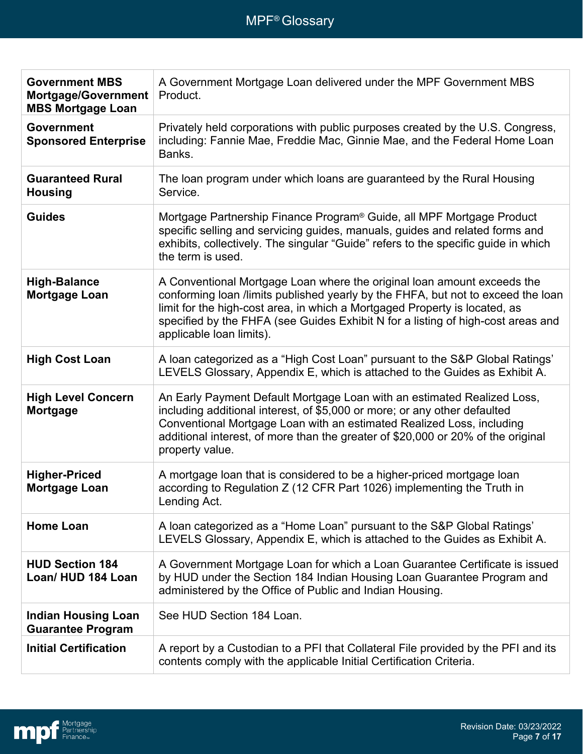| <b>Government MBS</b><br>Mortgage/Government<br><b>MBS Mortgage Loan</b> | A Government Mortgage Loan delivered under the MPF Government MBS<br>Product.                                                                                                                                                                                                                                                                             |
|--------------------------------------------------------------------------|-----------------------------------------------------------------------------------------------------------------------------------------------------------------------------------------------------------------------------------------------------------------------------------------------------------------------------------------------------------|
| <b>Government</b><br><b>Sponsored Enterprise</b>                         | Privately held corporations with public purposes created by the U.S. Congress,<br>including: Fannie Mae, Freddie Mac, Ginnie Mae, and the Federal Home Loan<br>Banks.                                                                                                                                                                                     |
| <b>Guaranteed Rural</b><br><b>Housing</b>                                | The loan program under which loans are guaranteed by the Rural Housing<br>Service.                                                                                                                                                                                                                                                                        |
| <b>Guides</b>                                                            | Mortgage Partnership Finance Program <sup>®</sup> Guide, all MPF Mortgage Product<br>specific selling and servicing guides, manuals, guides and related forms and<br>exhibits, collectively. The singular "Guide" refers to the specific guide in which<br>the term is used.                                                                              |
| <b>High-Balance</b><br><b>Mortgage Loan</b>                              | A Conventional Mortgage Loan where the original loan amount exceeds the<br>conforming loan /limits published yearly by the FHFA, but not to exceed the loan<br>limit for the high-cost area, in which a Mortgaged Property is located, as<br>specified by the FHFA (see Guides Exhibit N for a listing of high-cost areas and<br>applicable loan limits). |
| <b>High Cost Loan</b>                                                    | A loan categorized as a "High Cost Loan" pursuant to the S&P Global Ratings'<br>LEVELS Glossary, Appendix E, which is attached to the Guides as Exhibit A.                                                                                                                                                                                                |
| <b>High Level Concern</b><br>Mortgage                                    | An Early Payment Default Mortgage Loan with an estimated Realized Loss,<br>including additional interest, of \$5,000 or more; or any other defaulted<br>Conventional Mortgage Loan with an estimated Realized Loss, including<br>additional interest, of more than the greater of \$20,000 or 20% of the original<br>property value.                      |
| <b>Higher-Priced</b><br><b>Mortgage Loan</b>                             | A mortgage loan that is considered to be a higher-priced mortgage loan<br>according to Regulation Z (12 CFR Part 1026) implementing the Truth in<br>Lending Act.                                                                                                                                                                                          |
| <b>Home Loan</b>                                                         | A loan categorized as a "Home Loan" pursuant to the S&P Global Ratings'<br>LEVELS Glossary, Appendix E, which is attached to the Guides as Exhibit A.                                                                                                                                                                                                     |
| <b>HUD Section 184</b><br>Loan/HUD 184 Loan                              | A Government Mortgage Loan for which a Loan Guarantee Certificate is issued<br>by HUD under the Section 184 Indian Housing Loan Guarantee Program and<br>administered by the Office of Public and Indian Housing.                                                                                                                                         |
| <b>Indian Housing Loan</b><br><b>Guarantee Program</b>                   | See HUD Section 184 Loan.                                                                                                                                                                                                                                                                                                                                 |
| <b>Initial Certification</b>                                             | A report by a Custodian to a PFI that Collateral File provided by the PFI and its<br>contents comply with the applicable Initial Certification Criteria.                                                                                                                                                                                                  |

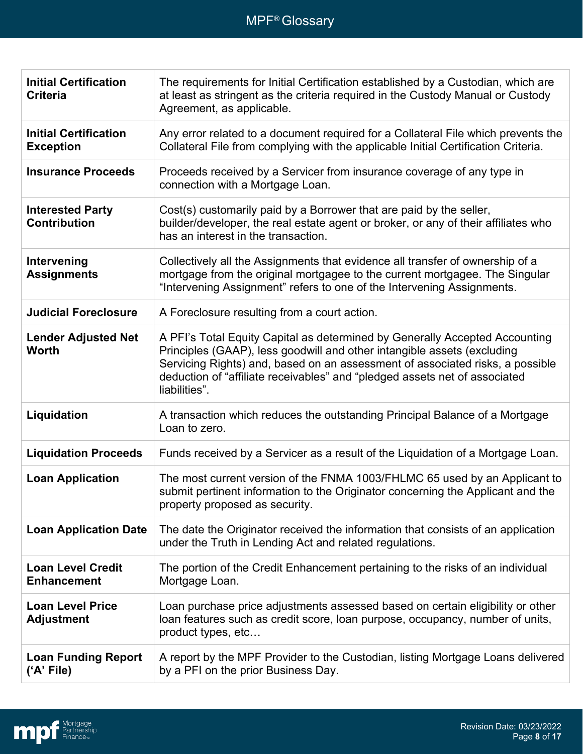| <b>Initial Certification</b><br><b>Criteria</b>  | The requirements for Initial Certification established by a Custodian, which are<br>at least as stringent as the criteria required in the Custody Manual or Custody<br>Agreement, as applicable.                                                                                                                                       |
|--------------------------------------------------|----------------------------------------------------------------------------------------------------------------------------------------------------------------------------------------------------------------------------------------------------------------------------------------------------------------------------------------|
| <b>Initial Certification</b><br><b>Exception</b> | Any error related to a document required for a Collateral File which prevents the<br>Collateral File from complying with the applicable Initial Certification Criteria.                                                                                                                                                                |
| <b>Insurance Proceeds</b>                        | Proceeds received by a Servicer from insurance coverage of any type in<br>connection with a Mortgage Loan.                                                                                                                                                                                                                             |
| <b>Interested Party</b><br><b>Contribution</b>   | Cost(s) customarily paid by a Borrower that are paid by the seller,<br>builder/developer, the real estate agent or broker, or any of their affiliates who<br>has an interest in the transaction.                                                                                                                                       |
| Intervening<br><b>Assignments</b>                | Collectively all the Assignments that evidence all transfer of ownership of a<br>mortgage from the original mortgagee to the current mortgagee. The Singular<br>"Intervening Assignment" refers to one of the Intervening Assignments.                                                                                                 |
| <b>Judicial Foreclosure</b>                      | A Foreclosure resulting from a court action.                                                                                                                                                                                                                                                                                           |
| <b>Lender Adjusted Net</b><br><b>Worth</b>       | A PFI's Total Equity Capital as determined by Generally Accepted Accounting<br>Principles (GAAP), less goodwill and other intangible assets (excluding<br>Servicing Rights) and, based on an assessment of associated risks, a possible<br>deduction of "affiliate receivables" and "pledged assets net of associated<br>liabilities". |
| Liquidation                                      | A transaction which reduces the outstanding Principal Balance of a Mortgage<br>Loan to zero.                                                                                                                                                                                                                                           |
| <b>Liquidation Proceeds</b>                      | Funds received by a Servicer as a result of the Liquidation of a Mortgage Loan.                                                                                                                                                                                                                                                        |
| <b>Loan Application</b>                          | The most current version of the FNMA 1003/FHLMC 65 used by an Applicant to<br>submit pertinent information to the Originator concerning the Applicant and the<br>property proposed as security.                                                                                                                                        |
| <b>Loan Application Date</b>                     | The date the Originator received the information that consists of an application<br>under the Truth in Lending Act and related regulations.                                                                                                                                                                                            |
| <b>Loan Level Credit</b><br><b>Enhancement</b>   | The portion of the Credit Enhancement pertaining to the risks of an individual<br>Mortgage Loan.                                                                                                                                                                                                                                       |
| <b>Loan Level Price</b><br><b>Adjustment</b>     | Loan purchase price adjustments assessed based on certain eligibility or other<br>loan features such as credit score, loan purpose, occupancy, number of units,<br>product types, etc                                                                                                                                                  |
| <b>Loan Funding Report</b><br>('A' File)         | A report by the MPF Provider to the Custodian, listing Mortgage Loans delivered<br>by a PFI on the prior Business Day.                                                                                                                                                                                                                 |

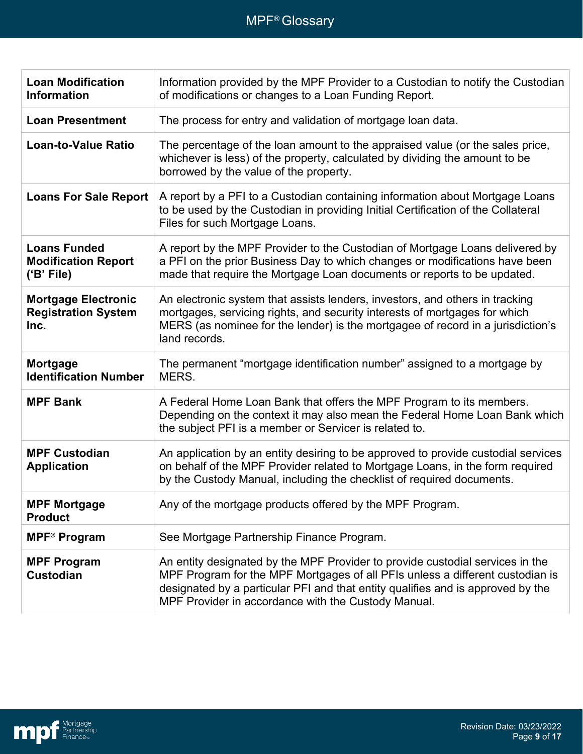| <b>Loan Modification</b><br><b>Information</b>                   | Information provided by the MPF Provider to a Custodian to notify the Custodian<br>of modifications or changes to a Loan Funding Report.                                                                                                                                                                 |
|------------------------------------------------------------------|----------------------------------------------------------------------------------------------------------------------------------------------------------------------------------------------------------------------------------------------------------------------------------------------------------|
| <b>Loan Presentment</b>                                          | The process for entry and validation of mortgage loan data.                                                                                                                                                                                                                                              |
| <b>Loan-to-Value Ratio</b>                                       | The percentage of the loan amount to the appraised value (or the sales price,<br>whichever is less) of the property, calculated by dividing the amount to be<br>borrowed by the value of the property.                                                                                                   |
| <b>Loans For Sale Report</b>                                     | A report by a PFI to a Custodian containing information about Mortgage Loans<br>to be used by the Custodian in providing Initial Certification of the Collateral<br>Files for such Mortgage Loans.                                                                                                       |
| <b>Loans Funded</b><br><b>Modification Report</b><br>('B' File)  | A report by the MPF Provider to the Custodian of Mortgage Loans delivered by<br>a PFI on the prior Business Day to which changes or modifications have been<br>made that require the Mortgage Loan documents or reports to be updated.                                                                   |
| <b>Mortgage Electronic</b><br><b>Registration System</b><br>Inc. | An electronic system that assists lenders, investors, and others in tracking<br>mortgages, servicing rights, and security interests of mortgages for which<br>MERS (as nominee for the lender) is the mortgagee of record in a jurisdiction's<br>land records.                                           |
| Mortgage<br><b>Identification Number</b>                         | The permanent "mortgage identification number" assigned to a mortgage by<br>MERS.                                                                                                                                                                                                                        |
| <b>MPF Bank</b>                                                  | A Federal Home Loan Bank that offers the MPF Program to its members.<br>Depending on the context it may also mean the Federal Home Loan Bank which<br>the subject PFI is a member or Servicer is related to.                                                                                             |
| <b>MPF Custodian</b><br><b>Application</b>                       | An application by an entity desiring to be approved to provide custodial services<br>on behalf of the MPF Provider related to Mortgage Loans, in the form required<br>by the Custody Manual, including the checklist of required documents.                                                              |
| <b>MPF Mortgage</b><br><b>Product</b>                            | Any of the mortgage products offered by the MPF Program.                                                                                                                                                                                                                                                 |
| <b>MPF<sup>®</sup></b> Program                                   | See Mortgage Partnership Finance Program.                                                                                                                                                                                                                                                                |
| <b>MPF Program</b><br><b>Custodian</b>                           | An entity designated by the MPF Provider to provide custodial services in the<br>MPF Program for the MPF Mortgages of all PFIs unless a different custodian is<br>designated by a particular PFI and that entity qualifies and is approved by the<br>MPF Provider in accordance with the Custody Manual. |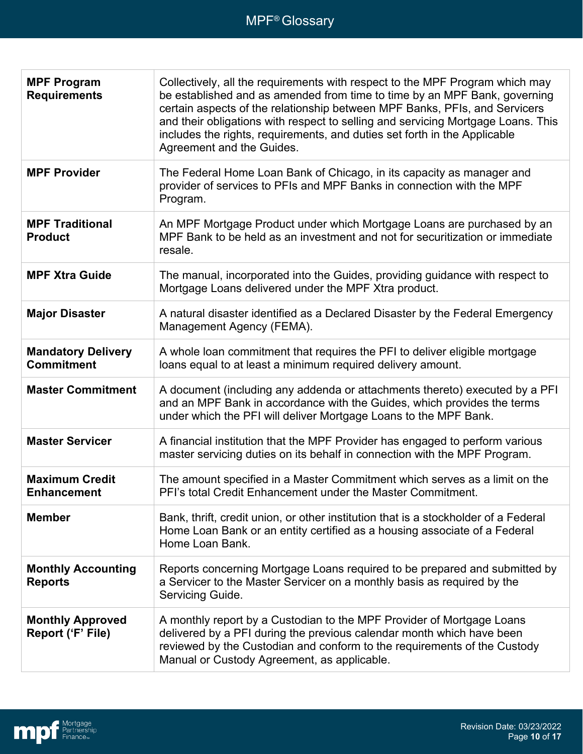| <b>MPF Program</b><br><b>Requirements</b>      | Collectively, all the requirements with respect to the MPF Program which may<br>be established and as amended from time to time by an MPF Bank, governing<br>certain aspects of the relationship between MPF Banks, PFIs, and Servicers<br>and their obligations with respect to selling and servicing Mortgage Loans. This<br>includes the rights, requirements, and duties set forth in the Applicable<br>Agreement and the Guides. |
|------------------------------------------------|---------------------------------------------------------------------------------------------------------------------------------------------------------------------------------------------------------------------------------------------------------------------------------------------------------------------------------------------------------------------------------------------------------------------------------------|
| <b>MPF Provider</b>                            | The Federal Home Loan Bank of Chicago, in its capacity as manager and<br>provider of services to PFIs and MPF Banks in connection with the MPF<br>Program.                                                                                                                                                                                                                                                                            |
| <b>MPF Traditional</b><br><b>Product</b>       | An MPF Mortgage Product under which Mortgage Loans are purchased by an<br>MPF Bank to be held as an investment and not for securitization or immediate<br>resale.                                                                                                                                                                                                                                                                     |
| <b>MPF Xtra Guide</b>                          | The manual, incorporated into the Guides, providing guidance with respect to<br>Mortgage Loans delivered under the MPF Xtra product.                                                                                                                                                                                                                                                                                                  |
| <b>Major Disaster</b>                          | A natural disaster identified as a Declared Disaster by the Federal Emergency<br>Management Agency (FEMA).                                                                                                                                                                                                                                                                                                                            |
| <b>Mandatory Delivery</b><br><b>Commitment</b> | A whole loan commitment that requires the PFI to deliver eligible mortgage<br>loans equal to at least a minimum required delivery amount.                                                                                                                                                                                                                                                                                             |
| <b>Master Commitment</b>                       | A document (including any addenda or attachments thereto) executed by a PFI<br>and an MPF Bank in accordance with the Guides, which provides the terms<br>under which the PFI will deliver Mortgage Loans to the MPF Bank.                                                                                                                                                                                                            |
| <b>Master Servicer</b>                         | A financial institution that the MPF Provider has engaged to perform various<br>master servicing duties on its behalf in connection with the MPF Program.                                                                                                                                                                                                                                                                             |
| <b>Maximum Credit</b><br><b>Enhancement</b>    | The amount specified in a Master Commitment which serves as a limit on the<br>PFI's total Credit Enhancement under the Master Commitment.                                                                                                                                                                                                                                                                                             |
| <b>Member</b>                                  | Bank, thrift, credit union, or other institution that is a stockholder of a Federal<br>Home Loan Bank or an entity certified as a housing associate of a Federal<br>Home Loan Bank.                                                                                                                                                                                                                                                   |
| <b>Monthly Accounting</b><br><b>Reports</b>    | Reports concerning Mortgage Loans required to be prepared and submitted by<br>a Servicer to the Master Servicer on a monthly basis as required by the<br>Servicing Guide.                                                                                                                                                                                                                                                             |
| <b>Monthly Approved</b><br>Report ('F' File)   | A monthly report by a Custodian to the MPF Provider of Mortgage Loans<br>delivered by a PFI during the previous calendar month which have been<br>reviewed by the Custodian and conform to the requirements of the Custody<br>Manual or Custody Agreement, as applicable.                                                                                                                                                             |

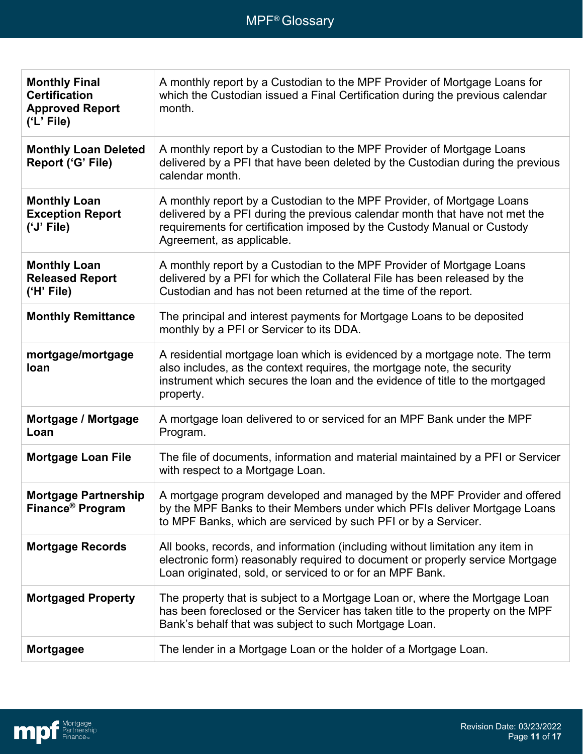| <b>Monthly Final</b><br><b>Certification</b><br><b>Approved Report</b><br>('L' File) | A monthly report by a Custodian to the MPF Provider of Mortgage Loans for<br>which the Custodian issued a Final Certification during the previous calendar<br>month.                                                                                          |
|--------------------------------------------------------------------------------------|---------------------------------------------------------------------------------------------------------------------------------------------------------------------------------------------------------------------------------------------------------------|
| <b>Monthly Loan Deleted</b><br>Report ('G' File)                                     | A monthly report by a Custodian to the MPF Provider of Mortgage Loans<br>delivered by a PFI that have been deleted by the Custodian during the previous<br>calendar month.                                                                                    |
| <b>Monthly Loan</b><br><b>Exception Report</b><br>('J' File)                         | A monthly report by a Custodian to the MPF Provider, of Mortgage Loans<br>delivered by a PFI during the previous calendar month that have not met the<br>requirements for certification imposed by the Custody Manual or Custody<br>Agreement, as applicable. |
| <b>Monthly Loan</b><br><b>Released Report</b><br>('H' File)                          | A monthly report by a Custodian to the MPF Provider of Mortgage Loans<br>delivered by a PFI for which the Collateral File has been released by the<br>Custodian and has not been returned at the time of the report.                                          |
| <b>Monthly Remittance</b>                                                            | The principal and interest payments for Mortgage Loans to be deposited<br>monthly by a PFI or Servicer to its DDA.                                                                                                                                            |
| mortgage/mortgage<br>loan                                                            | A residential mortgage loan which is evidenced by a mortgage note. The term<br>also includes, as the context requires, the mortgage note, the security<br>instrument which secures the loan and the evidence of title to the mortgaged<br>property.           |
| Mortgage / Mortgage<br>Loan                                                          | A mortgage loan delivered to or serviced for an MPF Bank under the MPF<br>Program.                                                                                                                                                                            |
| <b>Mortgage Loan File</b>                                                            | The file of documents, information and material maintained by a PFI or Servicer<br>with respect to a Mortgage Loan.                                                                                                                                           |
| <b>Mortgage Partnership</b><br>Finance <sup>®</sup> Program                          | A mortgage program developed and managed by the MPF Provider and offered<br>by the MPF Banks to their Members under which PFIs deliver Mortgage Loans<br>to MPF Banks, which are serviced by such PFI or by a Servicer.                                       |
| <b>Mortgage Records</b>                                                              | All books, records, and information (including without limitation any item in<br>electronic form) reasonably required to document or properly service Mortgage<br>Loan originated, sold, or serviced to or for an MPF Bank.                                   |
| <b>Mortgaged Property</b>                                                            | The property that is subject to a Mortgage Loan or, where the Mortgage Loan<br>has been foreclosed or the Servicer has taken title to the property on the MPF<br>Bank's behalf that was subject to such Mortgage Loan.                                        |
| <b>Mortgagee</b>                                                                     | The lender in a Mortgage Loan or the holder of a Mortgage Loan.                                                                                                                                                                                               |

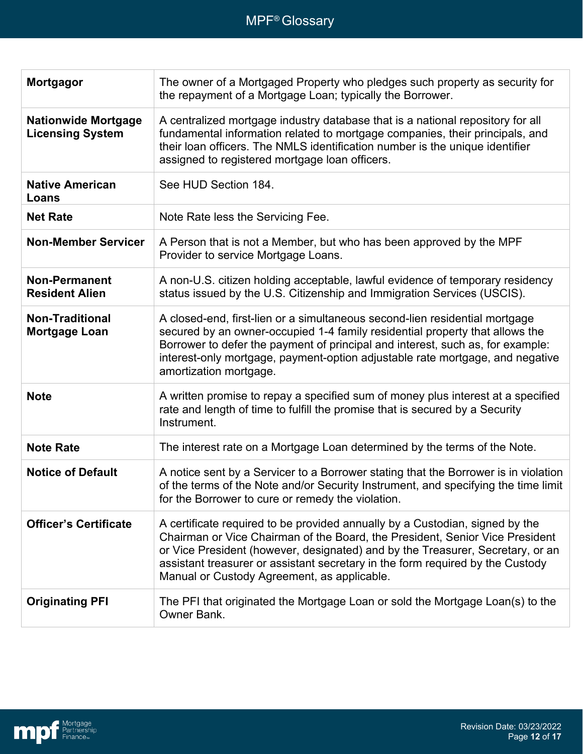| <b>Mortgagor</b>                                      | The owner of a Mortgaged Property who pledges such property as security for<br>the repayment of a Mortgage Loan; typically the Borrower.                                                                                                                                                                                                                                        |
|-------------------------------------------------------|---------------------------------------------------------------------------------------------------------------------------------------------------------------------------------------------------------------------------------------------------------------------------------------------------------------------------------------------------------------------------------|
| <b>Nationwide Mortgage</b><br><b>Licensing System</b> | A centralized mortgage industry database that is a national repository for all<br>fundamental information related to mortgage companies, their principals, and<br>their loan officers. The NMLS identification number is the unique identifier<br>assigned to registered mortgage loan officers.                                                                                |
| <b>Native American</b><br>Loans                       | See HUD Section 184.                                                                                                                                                                                                                                                                                                                                                            |
| <b>Net Rate</b>                                       | Note Rate less the Servicing Fee.                                                                                                                                                                                                                                                                                                                                               |
| <b>Non-Member Servicer</b>                            | A Person that is not a Member, but who has been approved by the MPF<br>Provider to service Mortgage Loans.                                                                                                                                                                                                                                                                      |
| <b>Non-Permanent</b><br><b>Resident Alien</b>         | A non-U.S. citizen holding acceptable, lawful evidence of temporary residency<br>status issued by the U.S. Citizenship and Immigration Services (USCIS).                                                                                                                                                                                                                        |
| <b>Non-Traditional</b><br><b>Mortgage Loan</b>        | A closed-end, first-lien or a simultaneous second-lien residential mortgage<br>secured by an owner-occupied 1-4 family residential property that allows the<br>Borrower to defer the payment of principal and interest, such as, for example:<br>interest-only mortgage, payment-option adjustable rate mortgage, and negative<br>amortization mortgage.                        |
| <b>Note</b>                                           | A written promise to repay a specified sum of money plus interest at a specified<br>rate and length of time to fulfill the promise that is secured by a Security<br>Instrument.                                                                                                                                                                                                 |
| <b>Note Rate</b>                                      | The interest rate on a Mortgage Loan determined by the terms of the Note.                                                                                                                                                                                                                                                                                                       |
| <b>Notice of Default</b>                              | A notice sent by a Servicer to a Borrower stating that the Borrower is in violation<br>of the terms of the Note and/or Security Instrument, and specifying the time limit<br>for the Borrower to cure or remedy the violation.                                                                                                                                                  |
| <b>Officer's Certificate</b>                          | A certificate required to be provided annually by a Custodian, signed by the<br>Chairman or Vice Chairman of the Board, the President, Senior Vice President<br>or Vice President (however, designated) and by the Treasurer, Secretary, or an<br>assistant treasurer or assistant secretary in the form required by the Custody<br>Manual or Custody Agreement, as applicable. |
| <b>Originating PFI</b>                                | The PFI that originated the Mortgage Loan or sold the Mortgage Loan(s) to the<br>Owner Bank.                                                                                                                                                                                                                                                                                    |

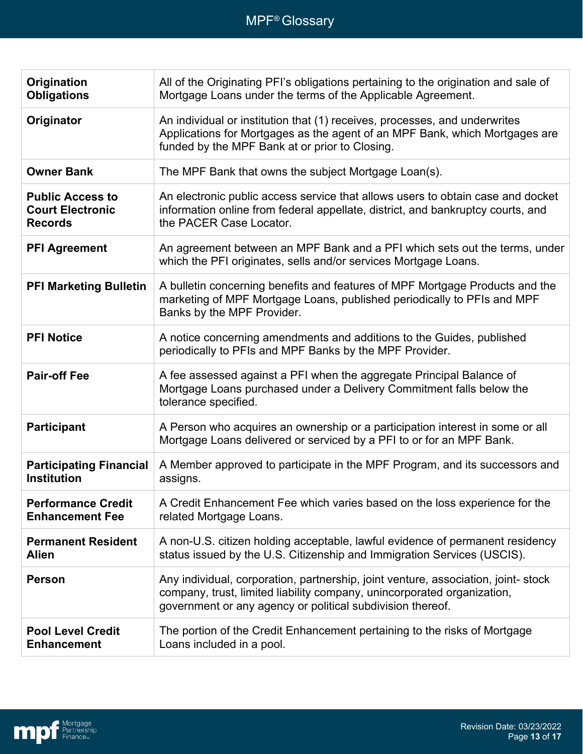| Origination<br><b>Obligations</b>                                    | All of the Originating PFI's obligations pertaining to the origination and sale of<br>Mortgage Loans under the terms of the Applicable Agreement.                                                                          |
|----------------------------------------------------------------------|----------------------------------------------------------------------------------------------------------------------------------------------------------------------------------------------------------------------------|
| Originator                                                           | An individual or institution that (1) receives, processes, and underwrites<br>Applications for Mortgages as the agent of an MPF Bank, which Mortgages are<br>funded by the MPF Bank at or prior to Closing.                |
| <b>Owner Bank</b>                                                    | The MPF Bank that owns the subject Mortgage Loan(s).                                                                                                                                                                       |
| <b>Public Access to</b><br><b>Court Electronic</b><br><b>Records</b> | An electronic public access service that allows users to obtain case and docket<br>information online from federal appellate, district, and bankruptcy courts, and<br>the PACER Case Locator.                              |
| <b>PFI Agreement</b>                                                 | An agreement between an MPF Bank and a PFI which sets out the terms, under<br>which the PFI originates, sells and/or services Mortgage Loans.                                                                              |
| <b>PFI Marketing Bulletin</b>                                        | A bulletin concerning benefits and features of MPF Mortgage Products and the<br>marketing of MPF Mortgage Loans, published periodically to PFIs and MPF<br>Banks by the MPF Provider.                                      |
| <b>PFI Notice</b>                                                    | A notice concerning amendments and additions to the Guides, published<br>periodically to PFIs and MPF Banks by the MPF Provider.                                                                                           |
|                                                                      |                                                                                                                                                                                                                            |
| <b>Pair-off Fee</b>                                                  | A fee assessed against a PFI when the aggregate Principal Balance of<br>Mortgage Loans purchased under a Delivery Commitment falls below the<br>tolerance specified.                                                       |
| <b>Participant</b>                                                   | A Person who acquires an ownership or a participation interest in some or all<br>Mortgage Loans delivered or serviced by a PFI to or for an MPF Bank.                                                                      |
| <b>Participating Financial</b><br><b>Institution</b>                 | A Member approved to participate in the MPF Program, and its successors and<br>assigns.                                                                                                                                    |
| <b>Performance Credit</b><br><b>Enhancement Fee</b>                  | A Credit Enhancement Fee which varies based on the loss experience for the<br>related Mortgage Loans.                                                                                                                      |
| <b>Permanent Resident</b><br><b>Alien</b>                            | A non-U.S. citizen holding acceptable, lawful evidence of permanent residency<br>status issued by the U.S. Citizenship and Immigration Services (USCIS).                                                                   |
| <b>Person</b>                                                        | Any individual, corporation, partnership, joint venture, association, joint-stock<br>company, trust, limited liability company, unincorporated organization,<br>government or any agency or political subdivision thereof. |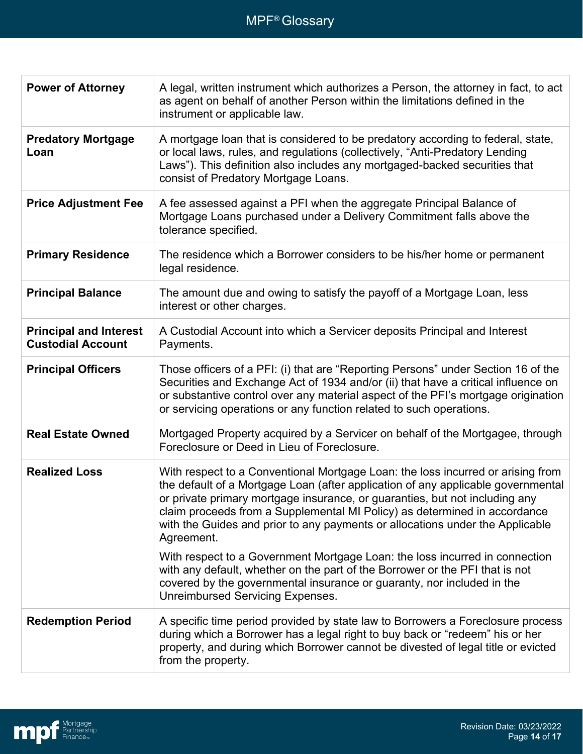| <b>Power of Attorney</b>                                  | A legal, written instrument which authorizes a Person, the attorney in fact, to act<br>as agent on behalf of another Person within the limitations defined in the<br>instrument or applicable law.                                                                                                                                                                                                                             |
|-----------------------------------------------------------|--------------------------------------------------------------------------------------------------------------------------------------------------------------------------------------------------------------------------------------------------------------------------------------------------------------------------------------------------------------------------------------------------------------------------------|
| <b>Predatory Mortgage</b><br>Loan                         | A mortgage loan that is considered to be predatory according to federal, state,<br>or local laws, rules, and regulations (collectively, "Anti-Predatory Lending<br>Laws"). This definition also includes any mortgaged-backed securities that<br>consist of Predatory Mortgage Loans.                                                                                                                                          |
| <b>Price Adjustment Fee</b>                               | A fee assessed against a PFI when the aggregate Principal Balance of<br>Mortgage Loans purchased under a Delivery Commitment falls above the<br>tolerance specified.                                                                                                                                                                                                                                                           |
| <b>Primary Residence</b>                                  | The residence which a Borrower considers to be his/her home or permanent<br>legal residence.                                                                                                                                                                                                                                                                                                                                   |
| <b>Principal Balance</b>                                  | The amount due and owing to satisfy the payoff of a Mortgage Loan, less<br>interest or other charges.                                                                                                                                                                                                                                                                                                                          |
| <b>Principal and Interest</b><br><b>Custodial Account</b> | A Custodial Account into which a Servicer deposits Principal and Interest<br>Payments.                                                                                                                                                                                                                                                                                                                                         |
| <b>Principal Officers</b>                                 | Those officers of a PFI: (i) that are "Reporting Persons" under Section 16 of the<br>Securities and Exchange Act of 1934 and/or (ii) that have a critical influence on<br>or substantive control over any material aspect of the PFI's mortgage origination<br>or servicing operations or any function related to such operations.                                                                                             |
| <b>Real Estate Owned</b>                                  | Mortgaged Property acquired by a Servicer on behalf of the Mortgagee, through<br>Foreclosure or Deed in Lieu of Foreclosure.                                                                                                                                                                                                                                                                                                   |
| <b>Realized Loss</b>                                      | With respect to a Conventional Mortgage Loan: the loss incurred or arising from<br>the default of a Mortgage Loan (after application of any applicable governmental<br>or private primary mortgage insurance, or guaranties, but not including any<br>claim proceeds from a Supplemental MI Policy) as determined in accordance<br>with the Guides and prior to any payments or allocations under the Applicable<br>Agreement. |
|                                                           | With respect to a Government Mortgage Loan: the loss incurred in connection<br>with any default, whether on the part of the Borrower or the PFI that is not<br>covered by the governmental insurance or guaranty, nor included in the<br><b>Unreimbursed Servicing Expenses.</b>                                                                                                                                               |
| <b>Redemption Period</b>                                  | A specific time period provided by state law to Borrowers a Foreclosure process<br>during which a Borrower has a legal right to buy back or "redeem" his or her<br>property, and during which Borrower cannot be divested of legal title or evicted<br>from the property.                                                                                                                                                      |

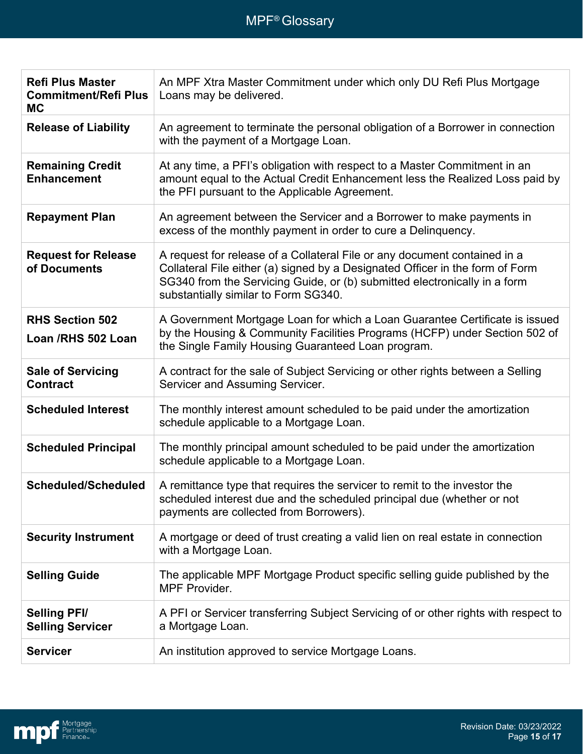| <b>Refi Plus Master</b><br><b>Commitment/Refi Plus</b><br><b>MC</b> | An MPF Xtra Master Commitment under which only DU Refi Plus Mortgage<br>Loans may be delivered.                                                                                                                                                                                 |
|---------------------------------------------------------------------|---------------------------------------------------------------------------------------------------------------------------------------------------------------------------------------------------------------------------------------------------------------------------------|
| <b>Release of Liability</b>                                         | An agreement to terminate the personal obligation of a Borrower in connection<br>with the payment of a Mortgage Loan.                                                                                                                                                           |
| <b>Remaining Credit</b><br><b>Enhancement</b>                       | At any time, a PFI's obligation with respect to a Master Commitment in an<br>amount equal to the Actual Credit Enhancement less the Realized Loss paid by<br>the PFI pursuant to the Applicable Agreement.                                                                      |
| <b>Repayment Plan</b>                                               | An agreement between the Servicer and a Borrower to make payments in<br>excess of the monthly payment in order to cure a Delinquency.                                                                                                                                           |
| <b>Request for Release</b><br>of Documents                          | A request for release of a Collateral File or any document contained in a<br>Collateral File either (a) signed by a Designated Officer in the form of Form<br>SG340 from the Servicing Guide, or (b) submitted electronically in a form<br>substantially similar to Form SG340. |
| <b>RHS Section 502</b><br>Loan /RHS 502 Loan                        | A Government Mortgage Loan for which a Loan Guarantee Certificate is issued<br>by the Housing & Community Facilities Programs (HCFP) under Section 502 of<br>the Single Family Housing Guaranteed Loan program.                                                                 |
| <b>Sale of Servicing</b><br><b>Contract</b>                         | A contract for the sale of Subject Servicing or other rights between a Selling<br>Servicer and Assuming Servicer.                                                                                                                                                               |
| <b>Scheduled Interest</b>                                           | The monthly interest amount scheduled to be paid under the amortization<br>schedule applicable to a Mortgage Loan.                                                                                                                                                              |
| <b>Scheduled Principal</b>                                          | The monthly principal amount scheduled to be paid under the amortization<br>schedule applicable to a Mortgage Loan.                                                                                                                                                             |
| Scheduled/Scheduled                                                 | A remittance type that requires the servicer to remit to the investor the<br>scheduled interest due and the scheduled principal due (whether or not<br>payments are collected from Borrowers).                                                                                  |
| <b>Security Instrument</b>                                          | A mortgage or deed of trust creating a valid lien on real estate in connection<br>with a Mortgage Loan.                                                                                                                                                                         |
| <b>Selling Guide</b>                                                | The applicable MPF Mortgage Product specific selling guide published by the<br><b>MPF Provider.</b>                                                                                                                                                                             |
| <b>Selling PFI/</b><br><b>Selling Servicer</b>                      | A PFI or Servicer transferring Subject Servicing of or other rights with respect to<br>a Mortgage Loan.                                                                                                                                                                         |
| <b>Servicer</b>                                                     | An institution approved to service Mortgage Loans.                                                                                                                                                                                                                              |

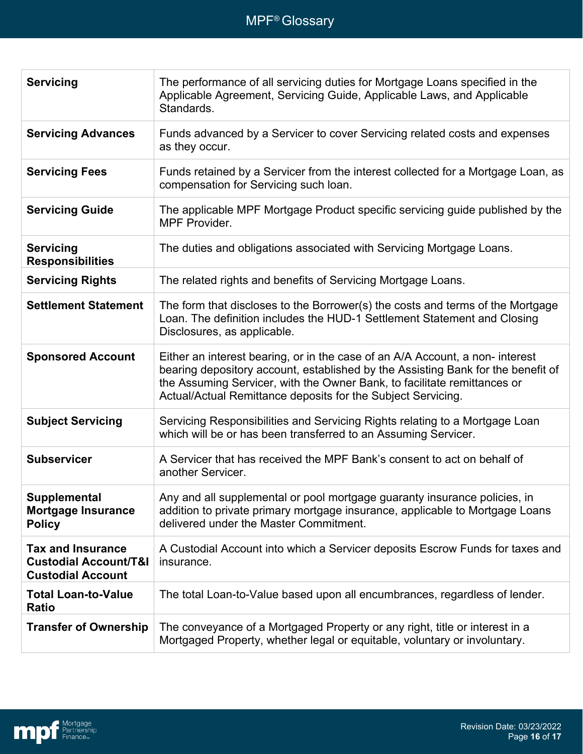| <b>Servicing</b>                                                                         | The performance of all servicing duties for Mortgage Loans specified in the<br>Applicable Agreement, Servicing Guide, Applicable Laws, and Applicable<br>Standards.                                                                                                                                          |
|------------------------------------------------------------------------------------------|--------------------------------------------------------------------------------------------------------------------------------------------------------------------------------------------------------------------------------------------------------------------------------------------------------------|
| <b>Servicing Advances</b>                                                                | Funds advanced by a Servicer to cover Servicing related costs and expenses<br>as they occur.                                                                                                                                                                                                                 |
| <b>Servicing Fees</b>                                                                    | Funds retained by a Servicer from the interest collected for a Mortgage Loan, as<br>compensation for Servicing such loan.                                                                                                                                                                                    |
| <b>Servicing Guide</b>                                                                   | The applicable MPF Mortgage Product specific servicing guide published by the<br><b>MPF Provider.</b>                                                                                                                                                                                                        |
| <b>Servicing</b><br><b>Responsibilities</b>                                              | The duties and obligations associated with Servicing Mortgage Loans.                                                                                                                                                                                                                                         |
| <b>Servicing Rights</b>                                                                  | The related rights and benefits of Servicing Mortgage Loans.                                                                                                                                                                                                                                                 |
| <b>Settlement Statement</b>                                                              | The form that discloses to the Borrower(s) the costs and terms of the Mortgage<br>Loan. The definition includes the HUD-1 Settlement Statement and Closing<br>Disclosures, as applicable.                                                                                                                    |
| <b>Sponsored Account</b>                                                                 | Either an interest bearing, or in the case of an A/A Account, a non-interest<br>bearing depository account, established by the Assisting Bank for the benefit of<br>the Assuming Servicer, with the Owner Bank, to facilitate remittances or<br>Actual/Actual Remittance deposits for the Subject Servicing. |
| <b>Subject Servicing</b>                                                                 | Servicing Responsibilities and Servicing Rights relating to a Mortgage Loan<br>which will be or has been transferred to an Assuming Servicer.                                                                                                                                                                |
| <b>Subservicer</b>                                                                       | A Servicer that has received the MPF Bank's consent to act on behalf of<br>another Servicer.                                                                                                                                                                                                                 |
| Supplemental<br><b>Mortgage Insurance</b><br><b>Policy</b>                               | Any and all supplemental or pool mortgage guaranty insurance policies, in<br>addition to private primary mortgage insurance, applicable to Mortgage Loans<br>delivered under the Master Commitment.                                                                                                          |
| <b>Tax and Insurance</b><br><b>Custodial Account/T&amp;I</b><br><b>Custodial Account</b> | A Custodial Account into which a Servicer deposits Escrow Funds for taxes and<br>insurance.                                                                                                                                                                                                                  |
| <b>Total Loan-to-Value</b><br>Ratio                                                      | The total Loan-to-Value based upon all encumbrances, regardless of lender.                                                                                                                                                                                                                                   |
| <b>Transfer of Ownership</b>                                                             | The conveyance of a Mortgaged Property or any right, title or interest in a<br>Mortgaged Property, whether legal or equitable, voluntary or involuntary.                                                                                                                                                     |